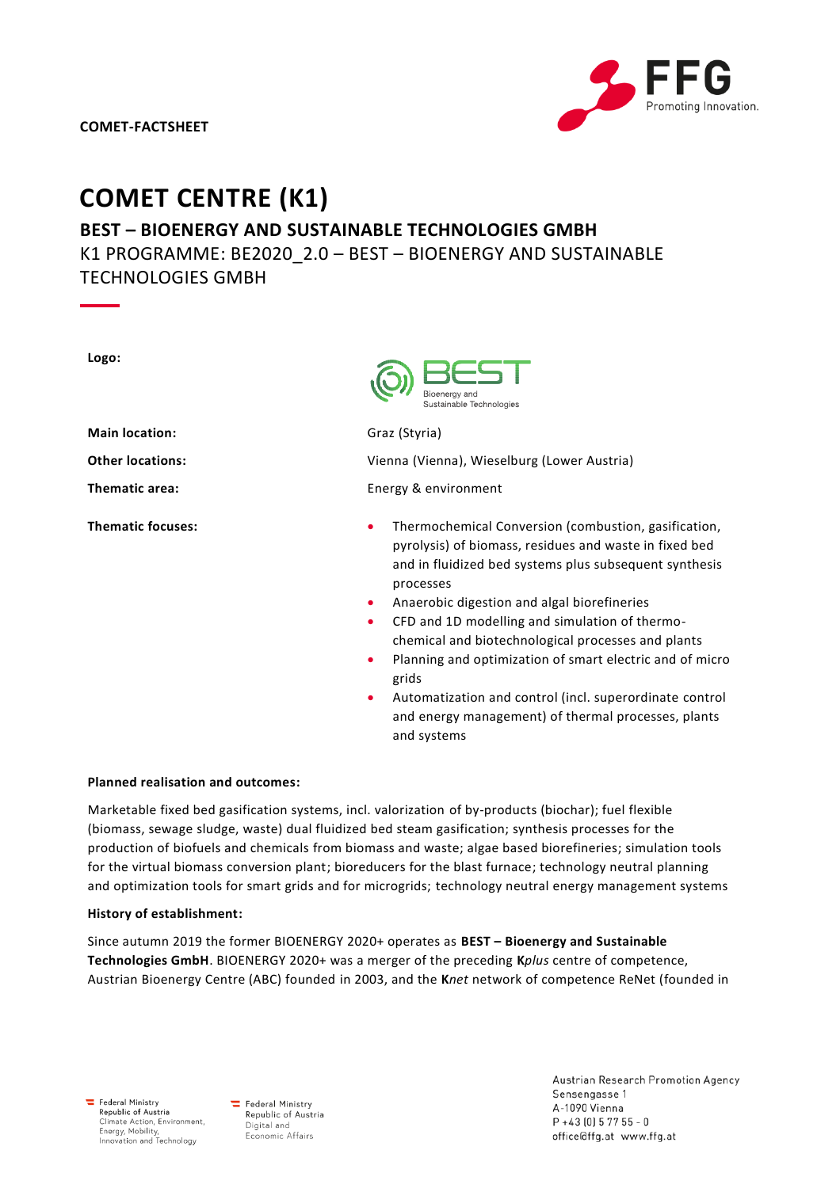# **COMET CENTRE (K1)**

# **BEST – BIOENERGY AND SUSTAINABLE TECHNOLOGIES GMBH** K1 PROGRAMME: BE2020\_2.0 – BEST – BIOENERGY AND SUSTAINABLE TECHNOLOGIES GMBH

| Logo:                    | Bioenerav anc<br>Sustainable Technologies                                                                                                                                                                                                                                                                                                                                                                                                                                                                                                                                 |
|--------------------------|---------------------------------------------------------------------------------------------------------------------------------------------------------------------------------------------------------------------------------------------------------------------------------------------------------------------------------------------------------------------------------------------------------------------------------------------------------------------------------------------------------------------------------------------------------------------------|
| <b>Main location:</b>    | Graz (Styria)                                                                                                                                                                                                                                                                                                                                                                                                                                                                                                                                                             |
| <b>Other locations:</b>  | Vienna (Vienna), Wieselburg (Lower Austria)                                                                                                                                                                                                                                                                                                                                                                                                                                                                                                                               |
| <b>Thematic area:</b>    | Energy & environment                                                                                                                                                                                                                                                                                                                                                                                                                                                                                                                                                      |
| <b>Thematic focuses:</b> | Thermochemical Conversion (combustion, gasification,<br>۰<br>pyrolysis) of biomass, residues and waste in fixed bed<br>and in fluidized bed systems plus subsequent synthesis<br>processes<br>Anaerobic digestion and algal biorefineries<br>$\bullet$<br>CFD and 1D modelling and simulation of thermo-<br>chemical and biotechnological processes and plants<br>Planning and optimization of smart electric and of micro<br>grids<br>Automatization and control (incl. superordinate control<br>۰<br>and energy management) of thermal processes, plants<br>and systems |

#### **Planned realisation and outcomes:**

Marketable fixed bed gasification systems, incl. valorization of by-products (biochar); fuel flexible (biomass, sewage sludge, waste) dual fluidized bed steam gasification; synthesis processes for the production of biofuels and chemicals from biomass and waste; algae based biorefineries; simulation tools for the virtual biomass conversion plant; bioreducers for the blast furnace; technology neutral planning and optimization tools for smart grids and for microgrids; technology neutral energy management systems

#### **History of establishment:**

Since autumn 2019 the former BIOENERGY 2020+ operates as **BEST – Bioenergy and Sustainable Technologies GmbH**. BIOENERGY 2020+ was a merger of the preceding **K***plus* centre of competence, Austrian Bioenergy Centre (ABC) founded in 2003, and the **K***net* network of competence ReNet (founded in

 $\equiv$  Federal Ministry Republic of Austria<br>Climate Action, Environment, Energy, Mobility,<br>Innovation and Technology

Federal Ministry Republic of Austria Digital and Economic Affairs

Austrian Research Promotion Agency Sensengasse 1 A-1090 Vienna  $P + 43[0] 5 77 55 - 0$ office@ffg.at www.ffg.at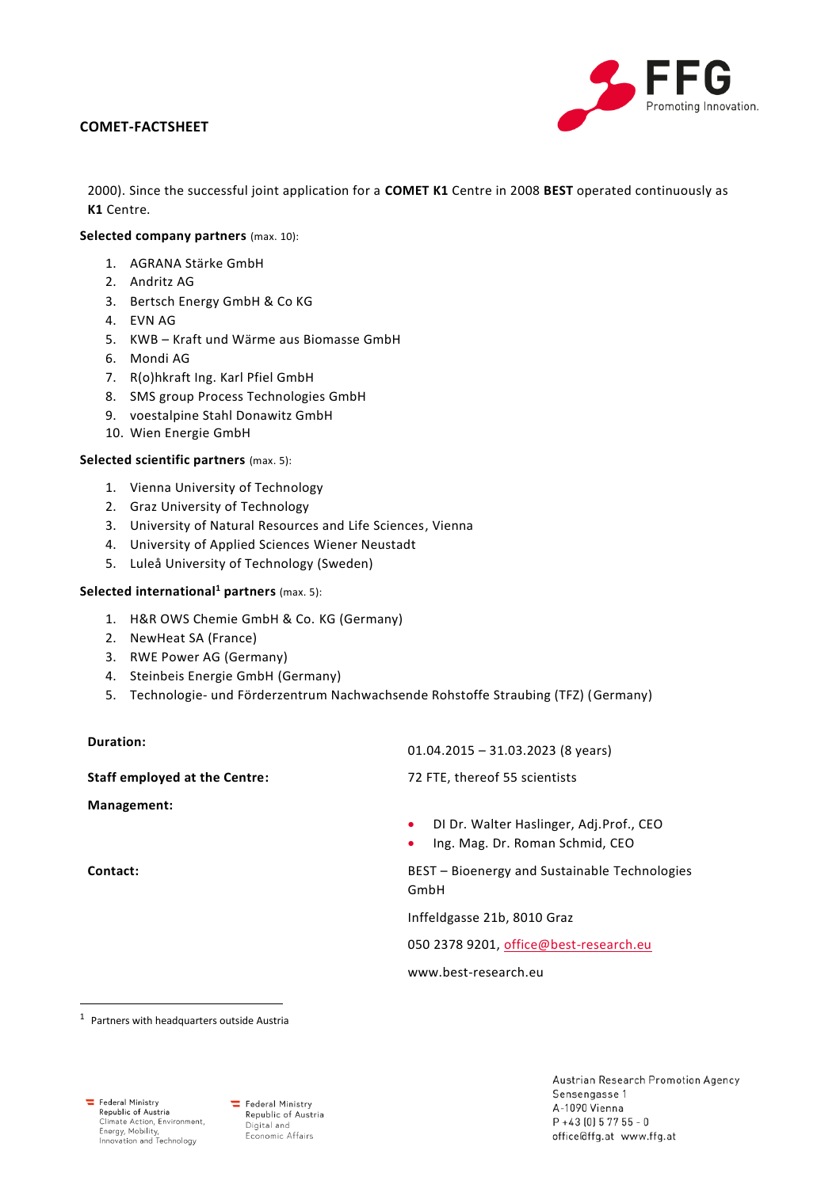### **COMET-FACTSHEET**



2000). Since the successful joint application for a **COMET K1** Centre in 2008 **BEST** operated continuously as **K1** Centre.

#### **Selected company partners** (max. 10):

- 1. AGRANA Stärke GmbH
- 2. Andritz AG
- 3. Bertsch Energy GmbH & Co KG
- 4. EVN AG
- 5. KWB Kraft und Wärme aus Biomasse GmbH
- 6. Mondi AG
- 7. R(o)hkraft Ing. Karl Pfiel GmbH
- 8. SMS group Process Technologies GmbH
- 9. voestalpine Stahl Donawitz GmbH
- 10. Wien Energie GmbH

#### **Selected scientific partners** (max. 5):

- 1. Vienna University of Technology
- 2. Graz University of Technology
- 3. University of Natural Resources and Life Sciences, Vienna
- 4. University of Applied Sciences Wiener Neustadt
- 5. Luleå University of Technology (Sweden)

#### **Selected international<sup>1</sup> partners** (max. 5):

- 1. H&R OWS Chemie GmbH & Co. KG (Germany)
- 2. NewHeat SA (France)
- 3. RWE Power AG (Germany)
- 4. Steinbeis Energie GmbH (Germany)
- 5. Technologie- und Förderzentrum Nachwachsende Rohstoffe Straubing (TFZ) (Germany)

## **Duration:**

**Staff employed at the Centre:** 72 FTE, thereof 55 scientists

**Management:**

 $\overline{a}$ 

01.04.2015 – 31.03.2023 (8 years)

- DI Dr. Walter Haslinger, Adj.Prof., CEO
- Ing. Mag. Dr. Roman Schmid, CEO

**Contact:** BEST – Bioenergy and Sustainable Technologies GmbH

Inffeldgasse 21b, 8010 Graz

050 2378 9201, [office@best-research.eu](mailto:office@best-research.eu)

www.best-research.eu

 $1$  Partners with headquarters outside Austria

Federal Ministry Republic of Austria<br>Climate Action, Environment, Energy, Mobility,<br>Innovation and Technology

Federal Ministry Republic of Austria Digital and Economic Affairs

Austrian Research Promotion Agency Sensengasse 1 A-1090 Vienna  $P + 43[0] 57755 - 0$ office@ffg.at www.ffg.at